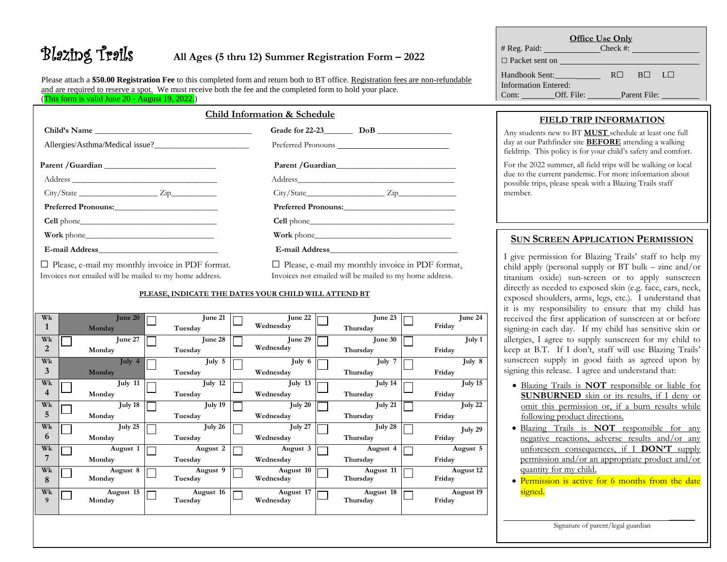# Blazing Trails **All Ages (5 thru 12) Summer Registration Form – <sup>2022</sup>**

Please attach a **\$50.00 Registration Fee** to this completed form and return both to BT office. Registration fees are non-refundable and are required to reserve a spot. We must receive both the fee and the completed form to hold your place. (This form is valid June 20 - August 19, 2022.)

|--|

 **Child's Name \_\_\_\_\_\_\_\_\_\_\_\_\_\_\_\_\_\_\_\_\_\_\_\_\_\_\_\_\_\_\_\_\_\_\_\_\_\_ Grade for 22-23\_\_\_\_\_\_\_ DoB \_\_\_\_\_\_\_\_\_\_\_\_\_\_\_\_\_\_**

Allergies/Asthma/Medical issue?\_\_\_\_\_\_\_\_\_\_\_\_\_\_\_\_\_\_\_\_\_\_\_ Preferred Pronouns

| Parent / Guardian | Parent / Guardian |
|-------------------|-------------------|
| Address           | Address           |

| $\sim$<br>. .                        |  | . . |  |
|--------------------------------------|--|-----|--|
| .<br><b><i>Property Services</i></b> |  |     |  |

**Preferred Pronouns:**\_\_\_\_\_\_\_\_\_\_\_\_\_\_\_\_\_\_\_\_\_\_\_\_\_ **Preferred Pronouns:**\_\_\_\_\_\_\_\_\_\_\_\_\_\_\_\_\_\_\_\_\_\_\_\_\_\_\_

**Cell** phone\_\_\_\_\_\_\_\_\_\_\_\_\_\_\_\_\_\_\_\_\_\_\_\_\_\_\_\_\_\_\_\_\_ **Cell** phone\_\_\_\_\_\_\_\_\_\_\_\_\_\_\_\_\_\_\_\_\_\_\_\_\_\_\_\_\_\_\_\_\_\_\_

**Work** phone\_\_\_\_\_\_\_\_\_\_\_\_\_\_\_\_\_\_\_\_\_\_\_\_\_\_\_\_\_\_\_ **Work** phone\_\_\_\_\_\_\_\_\_\_\_\_\_\_\_\_\_\_\_\_\_\_\_\_\_\_\_\_\_\_\_\_\_

Invoices not emailed will be mailed to my home address. Invoices not emailed will be mailed to my home address.

**E-mail Address**  $\Box$  Please, e-mail my monthly invoice in PDF format.  $\Box$  Please, e-mail my monthly invoice in PDF format.

## **PLEASE, INDICATE THE DATES YOUR CHILD WILL ATTEND BT**

| Wk<br>$\mathbf{1}$   | June 20<br>Monday   | June 21<br>Tuesday   | June 22<br>Wednesday   | June 23<br>Thursday   | June 24<br>Friday            |
|----------------------|---------------------|----------------------|------------------------|-----------------------|------------------------------|
| Wk<br>$\overline{2}$ | June 27<br>Monday   | June 28<br>Tuesday   | June 29<br>Wednesday   | June 30<br>Thursday   | July 1<br>Friday             |
| Wk<br>3              | July 4<br>Monday    | July $5$<br>Tuesday  | July 6<br>Wednesday    | July 7<br>Thursday    | $\text{July} \; 8$<br>Friday |
| Wk<br>$\overline{4}$ | July 11<br>Monday   | July 12<br>Tuesday   | July 13<br>Wednesday   | July 14<br>Thursday   | July 15<br>Friday            |
| Wk<br>5              | July 18<br>Monday   | July 19<br>Tuesday   | July 20<br>Wednesday   | July 21<br>Thursday   | July $22$<br>Friday          |
| Wk<br>6              | July $25$<br>Monday | July 26<br>Tuesday   | July $27$<br>Wednesday | July 28<br>Thursday   | July 29<br>Friday            |
| Wk<br>7              | August 1<br>Monday  | August 2<br>Tuesday  | August 3<br>Wednesday  | August 4<br>Thursday  | August 5<br>Friday           |
| Wk<br>8              | August 8<br>Monday  | August 9<br>Tuesday  | August 10<br>Wednesday | August 11<br>Thursday | August 12<br>Friday          |
| Wk<br>9              | August 15<br>Monday | August 16<br>Tuesday | August 17<br>Wednesday | August 18<br>Thursday | August 19<br>Friday          |
|                      |                     |                      |                        |                       |                              |

| Office Use Only                               |                        |                |                |       |  |  |
|-----------------------------------------------|------------------------|----------------|----------------|-------|--|--|
| # Reg. Paid:                                  | <u> Andrew Maria (</u> | $Check \#:$    |                |       |  |  |
| $\Box$ Packet sent on                         |                        |                |                |       |  |  |
| Handbook Sent:<br><b>Information Entered:</b> |                        | R <sub>1</sub> | B <sub>1</sub> | -LL L |  |  |
| Com:<br><b>Contract Contract</b>              | Off. File:             |                | Parent File:   |       |  |  |

# **FIELD TRIP INFORMATION**

Any students new to BT **MUST** schedule at least one full day at our Pathfinder site **BEFORE** attending a walking fieldtrip. This policy is for your child's safety and comfort.

For the 2022 summer, all field trips will be walking or local due to the current pandemic. For more information about possible trips, please speak with a Blazing Trails staff member.

# **SUN SCREEN APPLICATION PERMISSION**

I give permission for Blazing Trails' staff to help my child apply (personal supply or BT bulk – zinc and/or titanium oxide) sun-screen or to apply sunscreen directly as needed to exposed skin (e.g. face, ears, neck, exposed shoulders, arms, legs, etc.). I understand that it is my responsibility to ensure that my child has received the first application of sunscreen at or before signing-in each day. If my child has sensitive skin or allergies, I agree to supply sunscreen for my child to keep at B.T. If I don't, staff will use Blazing Trails' sunscreen supply in good faith as agreed upon by signing this release. I agree and understand that:

- Blazing Trails is **NOT** responsible or liable for **SUNBURNED** skin or its results, if I deny or omit this permission or, if a burn results while following product directions.
- Blazing Trails is **NOT** responsible for any negative reactions, adverse results and/or any unforeseen consequences, if I **DON'T** supply permission and/or an appropriate product and/or quantity for my child.
- Permission is active for 6 months from the date signed.

Signature of parent/legal guardian

\_\_\_\_\_\_\_